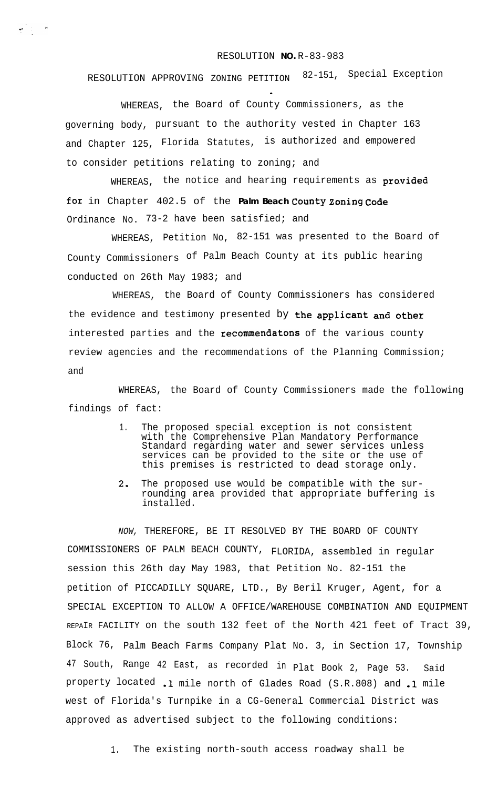## RESOLUTION **NO.** R-83-983

RESOLUTION APPROVING ZONING PETITION 82-151, Special Exception

WHEREAS, the Board of County Commissioners, as the governing body, pursuant to the authority vested in Chapter 163 and Chapter 125, Florida Statutes, is authorized and empowered to consider petitions relating to zoning; and

 $\frac{1}{2}$  and  $\frac{1}{2}$ 

WHEREAS, the notice and hearing requirements as provided **for** in Chapter 402.5 of the **Palm Beach County Zoning Code** Ordinance No. 73-2 have been satisfied; and

WHEREAS, Petition No, 82-151 was presented to the Board of County Commissioners of Palm Beach County at its public hearing conducted on 26th May 1983; and

WHEREAS, the Board of County Commissioners has considered the evidence and testimony presented by the applicant and other interested parties and the recommendatons of the various county review agencies and the recommendations of the Planning Commission; and

WHEREAS, the Board of County Commissioners made the following findings of fact:

- 1. The proposed special exception is not consistent with the Comprehensive Plan Mandatory Performance Standard regarding water and sewer services unless services can be provided to the site or the use of this premises is restricted to dead storage only.
- 2, The proposed use would be compatible with the surrounding area provided that appropriate buffering is installed.

*NOW,* THEREFORE, BE IT RESOLVED BY THE BOARD OF COUNTY COMMISSIONERS OF PALM BEACH COUNTY, FLORIDA, assembled in regular session this 26th day May 1983, that Petition No. 82-151 the petition of PICCADILLY SQUARE, LTD., By Beril Kruger, Agent, for a SPECIAL EXCEPTION TO ALLOW A OFFICE/WAREHOUSE COMBINATION AND EQUIPMENT REPAIR FACILITY on the south 132 feet of the North 421 feet of Tract 39, Block 76, Palm Beach Farms Company Plat No. 3, in Section 17, Township <sup>47</sup> South, Range <sup>42</sup> East, as recorded in Plat Book 2, Page 53. Said property located .l mile north of Glades Road (S.R.808) and .l mile west of Florida's Turnpike in a CG-General Commercial District was approved as advertised subject to the following conditions:

1. The existing north-south access roadway shall be